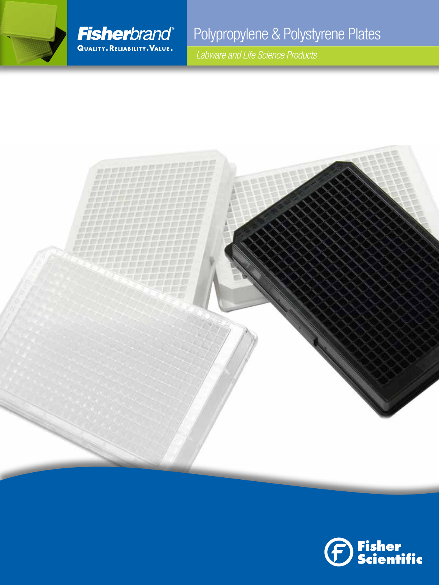

## Polypropylene & Polystyrene Plates

 *Labware and Life Science Products*



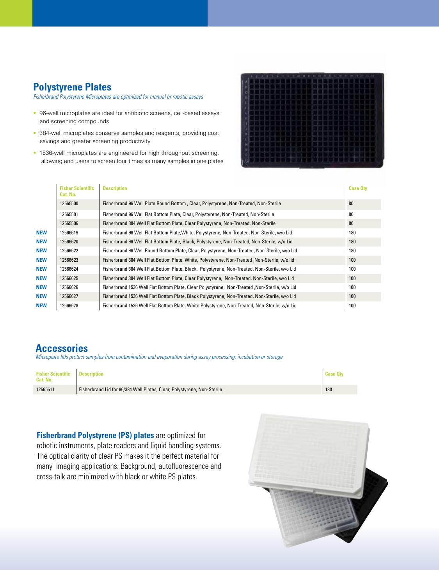### **Polystyrene Plates**

*Fisherbrand Polystyrene Microplates are optimized for manual or robotic assays* 

- 96-well microplates are ideal for antibiotic screens, cell-based assays and screening compounds
- 384-well microplates conserve samples and reagents, providing cost savings and greater screening productivity
- 1536-well microplates are engineered for high throughput screening, allowing end users to screen four times as many samples in one plates



|            | <b>Fisher Scientific</b><br>Cat. No. | <b>Description</b>                                                                            | <b>Case Oty</b> |
|------------|--------------------------------------|-----------------------------------------------------------------------------------------------|-----------------|
|            | 12565500                             | Fisherbrand 96 Well Plate Round Bottom, Clear, Polystyrene, Non-Treated, Non-Sterile          | 80              |
|            | 12565501                             | Fisherbrand 96 Well Flat Bottom Plate, Clear, Polystyrene, Non-Treated, Non-Sterile           | 80              |
|            | 12565506                             | Fisherbrand 384 Well Flat Bottom Plate, Clear Polystyrene, Non-Treated, Non-Sterile           | 80              |
| <b>NEW</b> | 12566619                             | Fisherbrand 96 Well Flat Bottom Plate, White, Polystyrene, Non-Treated, Non-Sterile, w/o Lid  | 180             |
| <b>NEW</b> | 12566620                             | Fisherbrand 96 Well Flat Bottom Plate, Black, Polystyrene, Non-Treated, Non-Sterile, w/o Lid  | 180             |
| <b>NEW</b> | 12566622                             | Fisherbrand 96 Well Round Bottom Plate, Clear, Polystyrene, Non-Treated, Non-Sterile, w/o Lid | 180             |
| <b>NEW</b> | 12566623                             | Fisherbrand 384 Well Flat Bottom Plate, White, Polystyrene, Non-Treated, Non-Sterile, w/o lid | 100             |
| <b>NEW</b> | 12566624                             | Fisherbrand 384 Well Flat Bottom Plate, Black, Polystyrene, Non-Treated, Non-Sterile, w/o Lid | 100             |
| <b>NEW</b> | 12566625                             | Fisherbrand 384 Well Flat Bottom Plate, Clear Polystyrene, Non-Treated, Non-Sterile, w/o Lid  | 100             |
| <b>NEW</b> | 12566626                             | Fisherbrand 1536 Well Flat Bottom Plate, Clear Polystyrene, Non-Treated, Non-Sterile, w/o Lid | 100             |
| <b>NEW</b> | 12566627                             | Fisherbrand 1536 Well Flat Bottom Plate, Black Polystyrene, Non-Treated, Non-Sterile, w/o Lid | 100             |
| <b>NEW</b> | 12566628                             | Fisherbrand 1536 Well Flat Bottom Plate, White Polystyrene, Non-Treated, Non-Sterile, w/o Lid | 100             |

#### **Accessories**

*Microplate lids protect samples from contamination and evaporation during assay processing, incubation or storage*

| <b>Fisher Scientific   Description</b><br>Cat. No. |                                                                         | <b>Case Otv</b> |
|----------------------------------------------------|-------------------------------------------------------------------------|-----------------|
| 12565511                                           | Fisherbrand Lid for 96/384 Well Plates, Clear, Polystyrene, Non-Sterile | 180             |

**Fisherbrand Polystyrene (PS) plates** are optimized for robotic instruments, plate readers and liquid handling systems. The optical clarity of clear PS makes it the perfect material for many imaging applications. Background, autofluorescence and cross-talk are minimized with black or white PS plates.

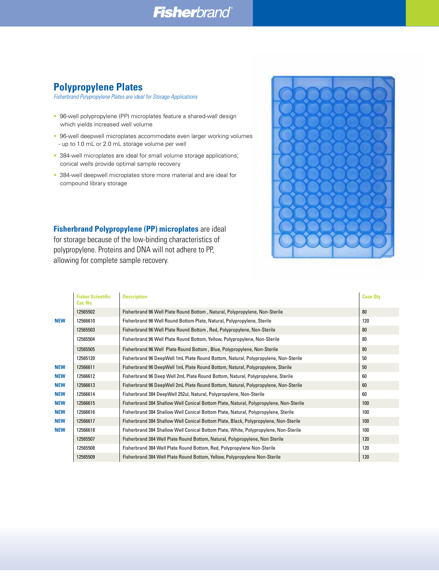### **Fisherbrand**

### **Polypropylene Plates**

*Fisherbrand Polypropylene Plates are ideal for Storage Applications*

- 96-well polypropylene (PP) microplates feature a shared-wall design which yields increased well volume
- 96-well deepwell microplates accommodate even larger working volumes - up to 1.0 mL or 2.0 mL storage volume per well
- 384-well microplates are ideal for small volume storage applications; conical wells provide optimal sample recovery
- 384-well deepwell microplates store more material and are ideal for compound library storage

**Fisherbrand Polypropylene (PP) microplates** are ideal for storage because of the low-binding characteristics of polypropylene. Proteins and DNA will not adhere to PP, allowing for complete sample recovery.



|            | <b>Fisher Scientific</b><br>Cat. No. | <b>Description</b>                                                                     | <b>Case Oty</b> |
|------------|--------------------------------------|----------------------------------------------------------------------------------------|-----------------|
|            | 12565502                             | Fisherbrand 96 Well Plate Round Bottom, Natural, Polypropylene, Non-Sterile            | 80              |
| <b>NEW</b> | 12566610                             | Fisherbrand 96 Well Round Bottom Plate, Natural, Polypropylene, Sterile                | 120             |
|            | 12565503                             | Fisherbrand 96 Well Plate Round Bottom, Red, Polypropylene, Non-Sterile                | 80              |
|            | 12565504                             | Fisherbrand 96 Well Plate Round Bottom, Yellow, Polypropylene, Non-Sterile             | 80              |
|            | 12565505                             | Fisherbrand 96 Well Plate Round Bottom, Blue, Polypropylene, Non-Sterile               | 80              |
|            | 12565120                             | Fisherbrand 96 DeepWell 1mL Plate Round Bottom, Natural, Polypropylene, Non-Sterile    | 50              |
| <b>NEW</b> | 12566611                             | Fisherbrand 96 DeepWell 1mL Plate Round Bottom, Natural, Polypropylene, Sterile        | 50              |
| <b>NEW</b> | 12566612                             | Fisherbrand 96 Deep Well 2mL Plate Round Bottom, Natural, Polypropylene, Sterile       | 60              |
| <b>NEW</b> | 12566613                             | Fisherbrand 96 DeepWell 2mL Plate Round Bottom, Natural, Polypropylene, Non-Sterile    | 60              |
| <b>NEW</b> | 12566614                             | 60<br>Fisherbrand 384 DeepWell 252ul, Natural, Polypropylene, Non-Sterile              |                 |
| <b>NEW</b> | 12566615                             | Fisherbrand 384 Shallow Well Conical Bottom Plate, Natural, Polypropylene, Non-Sterile | 100             |
| <b>NEW</b> | 12566616                             | Fisherbrand 384 Shallow Well Conical Bottom Plate, Natural, Polypropylene, Sterile     | 100             |
| <b>NEW</b> | 12566617                             | Fisherbrand 384 Shallow Well Conical Bottom Plate, Black, Polypropylene, Non-Sterile   | 100             |
| <b>NEW</b> | 12566618                             | Fisherbrand 384 Shallow Well Conical Bottom Plate, White, Polypropylene, Non-Sterile   | 100             |
|            | 12565507                             | Fisherbrand 384 Well Plate Round Bottom, Natural, Polypropylene, Non Sterile           | 120             |
|            | 12565508                             | Fisherbrand 384 Well Plate Round Bottom, Red, Polypropylene Non-Sterile                | 120             |
|            | 12565509                             | Fisherbrand 384 Well Plate Round Bottom, Yellow, Polypropylene Non-Sterile             | 120             |